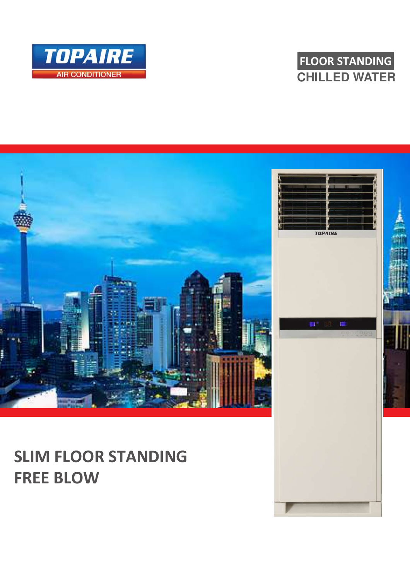





## **FREE BLOW**